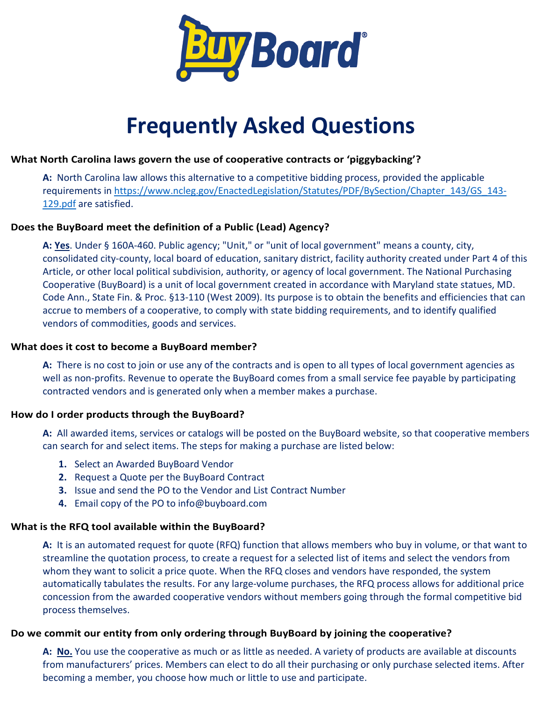

# **Frequently Asked Questions**

## **What North Carolina laws govern the use of cooperative contracts or 'piggybacking'?**

**A:** North Carolina law allows this alternative to a competitive bidding process, provided the applicable requirements in [https://www.ncleg.gov/EnactedLegislation/Statutes/PDF/BySection/Chapter\\_143/GS\\_143-](https://www.ncleg.gov/EnactedLegislation/Statutes/PDF/BySection/Chapter_143/GS_143-129.pdf) [129.pdf](https://www.ncleg.gov/EnactedLegislation/Statutes/PDF/BySection/Chapter_143/GS_143-129.pdf) are satisfied.

# **Does the BuyBoard meet the definition of a Public (Lead) Agency?**

**A: Yes**. Under § 160A-460. Public agency; "Unit," or "unit of local government" means a county, city, consolidated city-county, local board of education, sanitary district, facility authority created under Part 4 of this Article, or other local political subdivision, authority, or agency of local government. The National Purchasing Cooperative (BuyBoard) is a unit of local government created in accordance with Maryland state statues, MD. Code Ann., State Fin. & Proc. §13-110 (West 2009). Its purpose is to obtain the benefits and efficiencies that can accrue to members of a cooperative, to comply with state bidding requirements, and to identify qualified vendors of commodities, goods and services.

#### **What does it cost to become a BuyBoard member?**

**A:** There is no cost to join or use any of the contracts and is open to all types of local government agencies as well as non-profits. Revenue to operate the BuyBoard comes from a small service fee payable by participating contracted vendors and is generated only when a member makes a purchase.

#### **How do I order products through the BuyBoard?**

**A:** All awarded items, services or catalogs will be posted on the BuyBoard website, so that cooperative members can search for and select items. The steps for making a purchase are listed below:

- **1.** Select an Awarded BuyBoard Vendor
- **2.** Request a Quote per the BuyBoard Contract
- **3.** Issue and send the PO to the Vendor and List Contract Number
- **4.** Email copy of the PO to info@buyboard.com

#### **What is the RFQ tool available within the BuyBoard?**

**A:** It is an automated request for quote (RFQ) function that allows members who buy in volume, or that want to streamline the quotation process, to create a request for a selected list of items and select the vendors from whom they want to solicit a price quote. When the RFQ closes and vendors have responded, the system automatically tabulates the results. For any large-volume purchases, the RFQ process allows for additional price concession from the awarded cooperative vendors without members going through the formal competitive bid process themselves.

# **Do we commit our entity from only ordering through BuyBoard by joining the cooperative?**

**A: No.** You use the cooperative as much or as little as needed. A variety of products are available at discounts from manufacturers' prices. Members can elect to do all their purchasing or only purchase selected items. After becoming a member, you choose how much or little to use and participate.